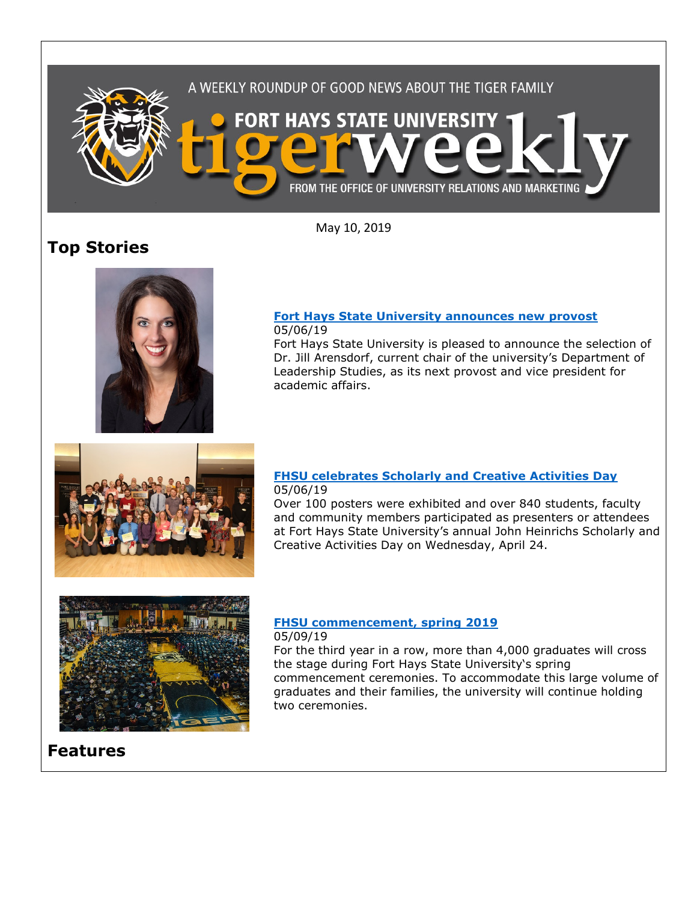

May 10, 2019

# **Top Stories**



#### **[Fort Hays State University announces new provost](https://www.fhsu.edu/news/2019/05/fort-hays-state-university-announces-new-provost)** 05/06/19

Fort Hays State University is pleased to announce the selection of Dr. Jill Arensdorf, current chair of the university's Department of Leadership Studies, as its next provost and vice president for academic affairs.



## **[FHSU celebrates Scholarly and Creative Activities Day](https://www.fhsu.edu/news/2019/05/fhsu-celebrates-scholarly-and-creative-activities-day)** 05/06/19

Over 100 posters were exhibited and over 840 students, faculty and community members participated as presenters or attendees at Fort Hays State University's annual John Heinrichs Scholarly and Creative Activities Day on Wednesday, April 24.



### **[FHSU commencement, spring 2019](https://www.fhsu.edu/news/2019/05/fhsu-commencement-spring-2019)** 05/09/19

For the third year in a row, more than 4,000 graduates will cross the stage during Fort Hays State University's spring commencement ceremonies. To accommodate this large volume of graduates and their families, the university will continue holding two ceremonies.

# **Features**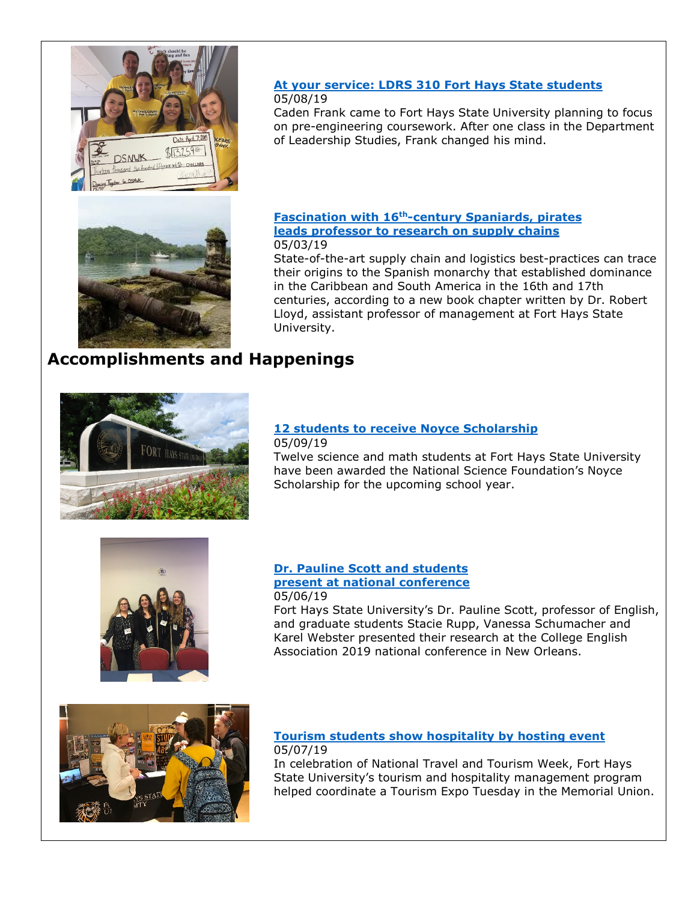



Caden Frank came to Fort Hays State University planning to focus on pre-engineering coursework. After one class in the Department of Leadership Studies, Frank changed his mind.



### **[Fascination with 16th-century Spaniards, pirates](https://www.fhsu.edu/news/2019/05/fascination-with-16th-century-spaniards,-pirates-leads-professor-to-research-on-supply-chains)  [leads professor to research on supply chains](https://www.fhsu.edu/news/2019/05/fascination-with-16th-century-spaniards,-pirates-leads-professor-to-research-on-supply-chains)** 05/03/19

State-of-the-art supply chain and logistics best-practices can trace their origins to the Spanish monarchy that established dominance in the Caribbean and South America in the 16th and 17th centuries, according to a new book chapter written by Dr. Robert Lloyd, assistant professor of management at Fort Hays State University.

# **Accomplishments and Happenings**



#### **[12 students to receive Noyce Scholarship](https://www.fhsu.edu/news/2019/05/12-students-to-receive-noyce-scholarship)** 05/09/19

Twelve science and math students at Fort Hays State University have been awarded the National Science Foundation's Noyce Scholarship for the upcoming school year.



### **[Dr. Pauline Scott and students](https://www.fhsu.edu/news/2019/05/dr.-pauline-scott-and-students-present-at-national-conference)  [present at national conference](https://www.fhsu.edu/news/2019/05/dr.-pauline-scott-and-students-present-at-national-conference)** 05/06/19

Fort Hays State University's Dr. Pauline Scott, professor of English, and graduate students Stacie Rupp, Vanessa Schumacher and Karel Webster presented their research at the College English Association 2019 national conference in New Orleans.



# **[Tourism students show hospitality by hosting event](https://www.fhsu.edu/news/2019/05/fhsu-tourism-students-show-hospitality-by-hosting-event)** 05/07/19

In celebration of National Travel and Tourism Week, Fort Hays State University's tourism and hospitality management program helped coordinate a Tourism Expo Tuesday in the Memorial Union.